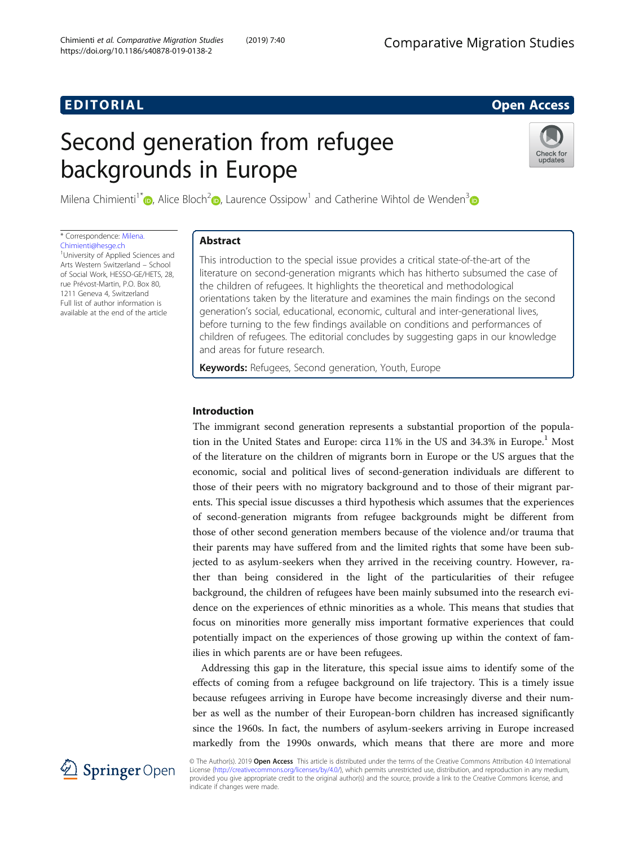# EDI TORIA L Open Access

# Second generation from refugee backgrounds in Europe



Milena Chimienti<sup>1[\\*](http://orcid.org/0000-0002-8930-2384)</sup>  $\odot$ , Alice Bloch<sup>[2](http://orcid.org/0000-0001-9757-8930)</sup> $\odot$ , Laurence Ossipow<sup>1</sup> and Catherine Wihtol de Wenden<sup>3</sup> $\odot$ 

\* Correspondence: [Milena.](mailto:Milena.Chimienti@hesge.ch) [Chimienti@hesge.ch](mailto:Milena.Chimienti@hesge.ch)

<sup>1</sup>University of Applied Sciences and Arts Western Switzerland – School of Social Work, HESSO-GE/HETS, 28, rue Prévost-Martin, P.O. Box 80, 1211 Geneva 4, Switzerland Full list of author information is available at the end of the article

# Abstract

This introduction to the special issue provides a critical state-of-the-art of the literature on second-generation migrants which has hitherto subsumed the case of the children of refugees. It highlights the theoretical and methodological orientations taken by the literature and examines the main findings on the second generation's social, educational, economic, cultural and inter-generational lives, before turning to the few findings available on conditions and performances of children of refugees. The editorial concludes by suggesting gaps in our knowledge and areas for future research.

Keywords: Refugees, Second generation, Youth, Europe

# Introduction

The immigrant second generation represents a substantial proportion of the population in the United States and Europe: circa  $11\%$  in the US and  $34.3\%$  in Europe.<sup>1</sup> Most of the literature on the children of migrants born in Europe or the US argues that the economic, social and political lives of second-generation individuals are different to those of their peers with no migratory background and to those of their migrant parents. This special issue discusses a third hypothesis which assumes that the experiences of second-generation migrants from refugee backgrounds might be different from those of other second generation members because of the violence and/or trauma that their parents may have suffered from and the limited rights that some have been subjected to as asylum-seekers when they arrived in the receiving country. However, rather than being considered in the light of the particularities of their refugee background, the children of refugees have been mainly subsumed into the research evidence on the experiences of ethnic minorities as a whole. This means that studies that focus on minorities more generally miss important formative experiences that could potentially impact on the experiences of those growing up within the context of families in which parents are or have been refugees.

Addressing this gap in the literature, this special issue aims to identify some of the effects of coming from a refugee background on life trajectory. This is a timely issue because refugees arriving in Europe have become increasingly diverse and their number as well as the number of their European-born children has increased significantly since the 1960s. In fact, the numbers of asylum-seekers arriving in Europe increased markedly from the 1990s onwards, which means that there are more and more



© The Author(s). 2019 Open Access This article is distributed under the terms of the Creative Commons Attribution 4.0 International License [\(http://creativecommons.org/licenses/by/4.0/](http://creativecommons.org/licenses/by/4.0/)), which permits unrestricted use, distribution, and reproduction in any medium, provided you give appropriate credit to the original author(s) and the source, provide a link to the Creative Commons license, and indicate if changes were made.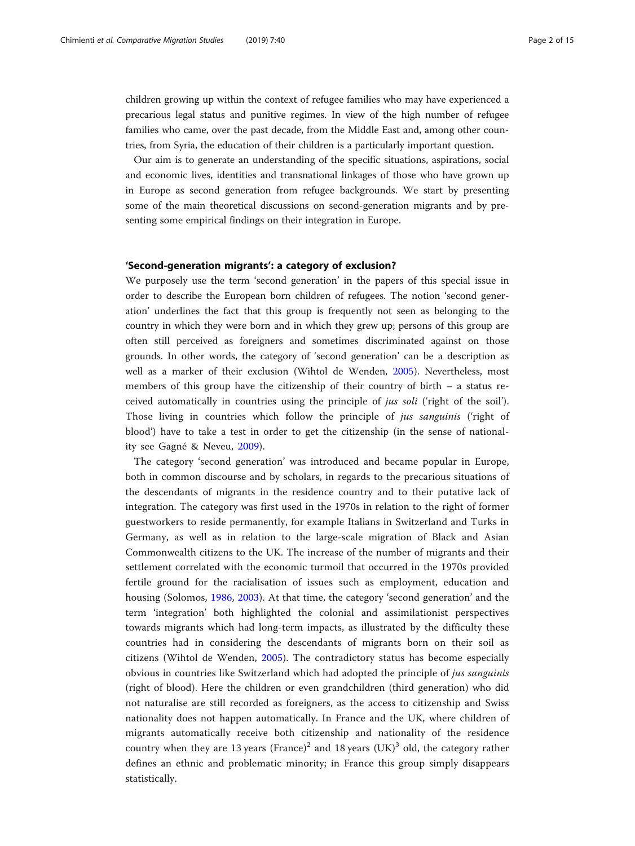children growing up within the context of refugee families who may have experienced a precarious legal status and punitive regimes. In view of the high number of refugee families who came, over the past decade, from the Middle East and, among other countries, from Syria, the education of their children is a particularly important question.

Our aim is to generate an understanding of the specific situations, aspirations, social and economic lives, identities and transnational linkages of those who have grown up in Europe as second generation from refugee backgrounds. We start by presenting some of the main theoretical discussions on second-generation migrants and by presenting some empirical findings on their integration in Europe.

# 'Second-generation migrants': a category of exclusion?

We purposely use the term 'second generation' in the papers of this special issue in order to describe the European born children of refugees. The notion 'second generation' underlines the fact that this group is frequently not seen as belonging to the country in which they were born and in which they grew up; persons of this group are often still perceived as foreigners and sometimes discriminated against on those grounds. In other words, the category of 'second generation' can be a description as well as a marker of their exclusion (Wihtol de Wenden, [2005](#page-14-0)). Nevertheless, most members of this group have the citizenship of their country of birth – a status received automatically in countries using the principle of jus soli ('right of the soil'). Those living in countries which follow the principle of *jus sanguinis* ('right of blood') have to take a test in order to get the citizenship (in the sense of nationality see Gagné & Neveu, [2009](#page-12-0)).

The category 'second generation' was introduced and became popular in Europe, both in common discourse and by scholars, in regards to the precarious situations of the descendants of migrants in the residence country and to their putative lack of integration. The category was first used in the 1970s in relation to the right of former guestworkers to reside permanently, for example Italians in Switzerland and Turks in Germany, as well as in relation to the large-scale migration of Black and Asian Commonwealth citizens to the UK. The increase of the number of migrants and their settlement correlated with the economic turmoil that occurred in the 1970s provided fertile ground for the racialisation of issues such as employment, education and housing (Solomos, [1986,](#page-14-0) [2003](#page-14-0)). At that time, the category 'second generation' and the term 'integration' both highlighted the colonial and assimilationist perspectives towards migrants which had long-term impacts, as illustrated by the difficulty these countries had in considering the descendants of migrants born on their soil as citizens (Wihtol de Wenden, [2005](#page-14-0)). The contradictory status has become especially obvious in countries like Switzerland which had adopted the principle of jus sanguinis (right of blood). Here the children or even grandchildren (third generation) who did not naturalise are still recorded as foreigners, as the access to citizenship and Swiss nationality does not happen automatically. In France and the UK, where children of migrants automatically receive both citizenship and nationality of the residence country when they are 13 years (France)<sup>2</sup> and 18 years (UK)<sup>3</sup> old, the category rather defines an ethnic and problematic minority; in France this group simply disappears statistically.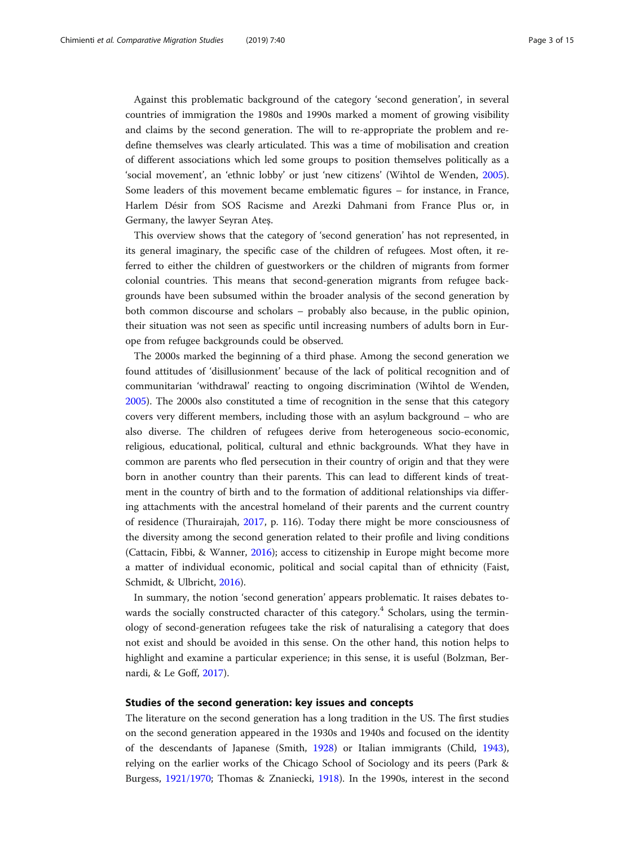Against this problematic background of the category 'second generation', in several countries of immigration the 1980s and 1990s marked a moment of growing visibility and claims by the second generation. The will to re-appropriate the problem and redefine themselves was clearly articulated. This was a time of mobilisation and creation of different associations which led some groups to position themselves politically as a 'social movement', an 'ethnic lobby' or just 'new citizens' (Wihtol de Wenden, [2005](#page-14-0)). Some leaders of this movement became emblematic figures – for instance, in France, Harlem Désir from SOS Racisme and Arezki Dahmani from France Plus or, in Germany, the lawyer Seyran Ateş.

This overview shows that the category of 'second generation' has not represented, in its general imaginary, the specific case of the children of refugees. Most often, it referred to either the children of guestworkers or the children of migrants from former colonial countries. This means that second-generation migrants from refugee backgrounds have been subsumed within the broader analysis of the second generation by both common discourse and scholars – probably also because, in the public opinion, their situation was not seen as specific until increasing numbers of adults born in Europe from refugee backgrounds could be observed.

The 2000s marked the beginning of a third phase. Among the second generation we found attitudes of 'disillusionment' because of the lack of political recognition and of communitarian 'withdrawal' reacting to ongoing discrimination (Wihtol de Wenden, [2005](#page-14-0)). The 2000s also constituted a time of recognition in the sense that this category covers very different members, including those with an asylum background – who are also diverse. The children of refugees derive from heterogeneous socio-economic, religious, educational, political, cultural and ethnic backgrounds. What they have in common are parents who fled persecution in their country of origin and that they were born in another country than their parents. This can lead to different kinds of treatment in the country of birth and to the formation of additional relationships via differing attachments with the ancestral homeland of their parents and the current country of residence (Thurairajah, [2017](#page-14-0), p. 116). Today there might be more consciousness of the diversity among the second generation related to their profile and living conditions (Cattacin, Fibbi, & Wanner, [2016\)](#page-12-0); access to citizenship in Europe might become more a matter of individual economic, political and social capital than of ethnicity (Faist, Schmidt, & Ulbricht, [2016](#page-12-0)).

In summary, the notion 'second generation' appears problematic. It raises debates towards the socially constructed character of this category.<sup>4</sup> Scholars, using the terminology of second-generation refugees take the risk of naturalising a category that does not exist and should be avoided in this sense. On the other hand, this notion helps to highlight and examine a particular experience; in this sense, it is useful (Bolzman, Bernardi, & Le Goff, [2017\)](#page-11-0).

# Studies of the second generation: key issues and concepts

The literature on the second generation has a long tradition in the US. The first studies on the second generation appeared in the 1930s and 1940s and focused on the identity of the descendants of Japanese (Smith, [1928](#page-14-0)) or Italian immigrants (Child, [1943](#page-12-0)), relying on the earlier works of the Chicago School of Sociology and its peers (Park & Burgess, [1921/1970](#page-13-0); Thomas & Znaniecki, [1918](#page-14-0)). In the 1990s, interest in the second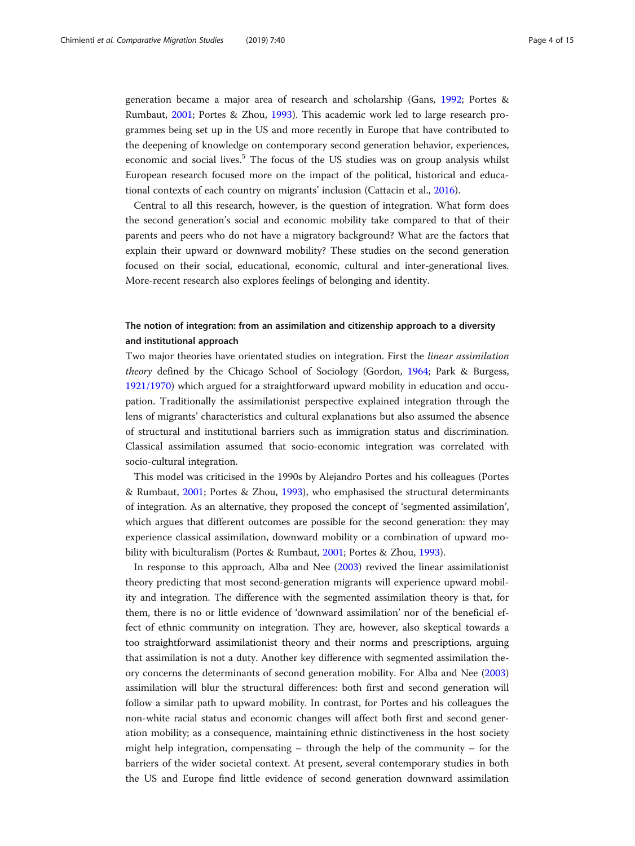generation became a major area of research and scholarship (Gans, [1992](#page-12-0); Portes & Rumbaut, [2001;](#page-14-0) Portes & Zhou, [1993](#page-14-0)). This academic work led to large research programmes being set up in the US and more recently in Europe that have contributed to the deepening of knowledge on contemporary second generation behavior, experiences, economic and social lives.<sup>5</sup> The focus of the US studies was on group analysis whilst European research focused more on the impact of the political, historical and educational contexts of each country on migrants' inclusion (Cattacin et al., [2016\)](#page-12-0).

Central to all this research, however, is the question of integration. What form does the second generation's social and economic mobility take compared to that of their parents and peers who do not have a migratory background? What are the factors that explain their upward or downward mobility? These studies on the second generation focused on their social, educational, economic, cultural and inter-generational lives. More-recent research also explores feelings of belonging and identity.

# The notion of integration: from an assimilation and citizenship approach to a diversity and institutional approach

Two major theories have orientated studies on integration. First the *linear assimilation* theory defined by the Chicago School of Sociology (Gordon, [1964](#page-13-0); Park & Burgess, [1921/1970](#page-13-0)) which argued for a straightforward upward mobility in education and occupation. Traditionally the assimilationist perspective explained integration through the lens of migrants' characteristics and cultural explanations but also assumed the absence of structural and institutional barriers such as immigration status and discrimination. Classical assimilation assumed that socio-economic integration was correlated with socio-cultural integration.

This model was criticised in the 1990s by Alejandro Portes and his colleagues (Portes & Rumbaut, [2001](#page-14-0); Portes & Zhou, [1993\)](#page-14-0), who emphasised the structural determinants of integration. As an alternative, they proposed the concept of 'segmented assimilation', which argues that different outcomes are possible for the second generation: they may experience classical assimilation, downward mobility or a combination of upward mobility with biculturalism (Portes & Rumbaut, [2001](#page-14-0); Portes & Zhou, [1993\)](#page-14-0).

In response to this approach, Alba and Nee ([2003](#page-11-0)) revived the linear assimilationist theory predicting that most second-generation migrants will experience upward mobility and integration. The difference with the segmented assimilation theory is that, for them, there is no or little evidence of 'downward assimilation' nor of the beneficial effect of ethnic community on integration. They are, however, also skeptical towards a too straightforward assimilationist theory and their norms and prescriptions, arguing that assimilation is not a duty. Another key difference with segmented assimilation theory concerns the determinants of second generation mobility. For Alba and Nee ([2003](#page-11-0)) assimilation will blur the structural differences: both first and second generation will follow a similar path to upward mobility. In contrast, for Portes and his colleagues the non-white racial status and economic changes will affect both first and second generation mobility; as a consequence, maintaining ethnic distinctiveness in the host society might help integration, compensating  $-$  through the help of the community  $-$  for the barriers of the wider societal context. At present, several contemporary studies in both the US and Europe find little evidence of second generation downward assimilation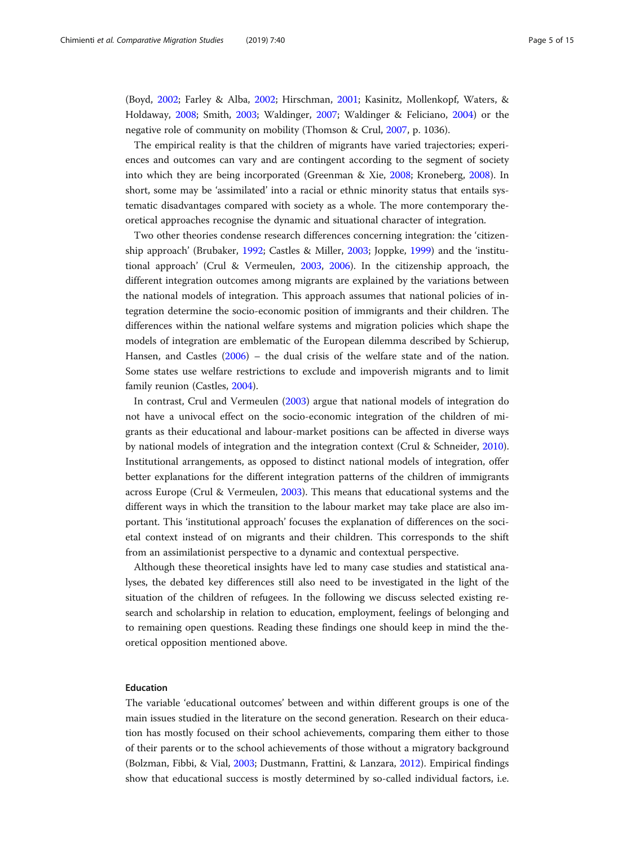(Boyd, [2002](#page-11-0); Farley & Alba, [2002;](#page-12-0) Hirschman, [2001](#page-13-0); Kasinitz, Mollenkopf, Waters, & Holdaway, [2008](#page-13-0); Smith, [2003](#page-14-0); Waldinger, [2007](#page-14-0); Waldinger & Feliciano, [2004](#page-14-0)) or the negative role of community on mobility (Thomson & Crul, [2007](#page-14-0), p. 1036).

The empirical reality is that the children of migrants have varied trajectories; experiences and outcomes can vary and are contingent according to the segment of society into which they are being incorporated (Greenman & Xie, [2008](#page-13-0); Kroneberg, [2008\)](#page-13-0). In short, some may be 'assimilated' into a racial or ethnic minority status that entails systematic disadvantages compared with society as a whole. The more contemporary theoretical approaches recognise the dynamic and situational character of integration.

Two other theories condense research differences concerning integration: the 'citizenship approach' (Brubaker, [1992;](#page-12-0) Castles & Miller, [2003;](#page-12-0) Joppke, [1999\)](#page-13-0) and the 'institutional approach' (Crul & Vermeulen, [2003,](#page-12-0) [2006\)](#page-12-0). In the citizenship approach, the different integration outcomes among migrants are explained by the variations between the national models of integration. This approach assumes that national policies of integration determine the socio-economic position of immigrants and their children. The differences within the national welfare systems and migration policies which shape the models of integration are emblematic of the European dilemma described by Schierup, Hansen, and Castles [\(2006\)](#page-14-0) – the dual crisis of the welfare state and of the nation. Some states use welfare restrictions to exclude and impoverish migrants and to limit family reunion (Castles, [2004\)](#page-12-0).

In contrast, Crul and Vermeulen ([2003](#page-12-0)) argue that national models of integration do not have a univocal effect on the socio-economic integration of the children of migrants as their educational and labour-market positions can be affected in diverse ways by national models of integration and the integration context (Crul & Schneider, [2010](#page-12-0)). Institutional arrangements, as opposed to distinct national models of integration, offer better explanations for the different integration patterns of the children of immigrants across Europe (Crul & Vermeulen, [2003](#page-12-0)). This means that educational systems and the different ways in which the transition to the labour market may take place are also important. This 'institutional approach' focuses the explanation of differences on the societal context instead of on migrants and their children. This corresponds to the shift from an assimilationist perspective to a dynamic and contextual perspective.

Although these theoretical insights have led to many case studies and statistical analyses, the debated key differences still also need to be investigated in the light of the situation of the children of refugees. In the following we discuss selected existing research and scholarship in relation to education, employment, feelings of belonging and to remaining open questions. Reading these findings one should keep in mind the theoretical opposition mentioned above.

# Education

The variable 'educational outcomes' between and within different groups is one of the main issues studied in the literature on the second generation. Research on their education has mostly focused on their school achievements, comparing them either to those of their parents or to the school achievements of those without a migratory background (Bolzman, Fibbi, & Vial, [2003;](#page-11-0) Dustmann, Frattini, & Lanzara, [2012\)](#page-12-0). Empirical findings show that educational success is mostly determined by so-called individual factors, i.e.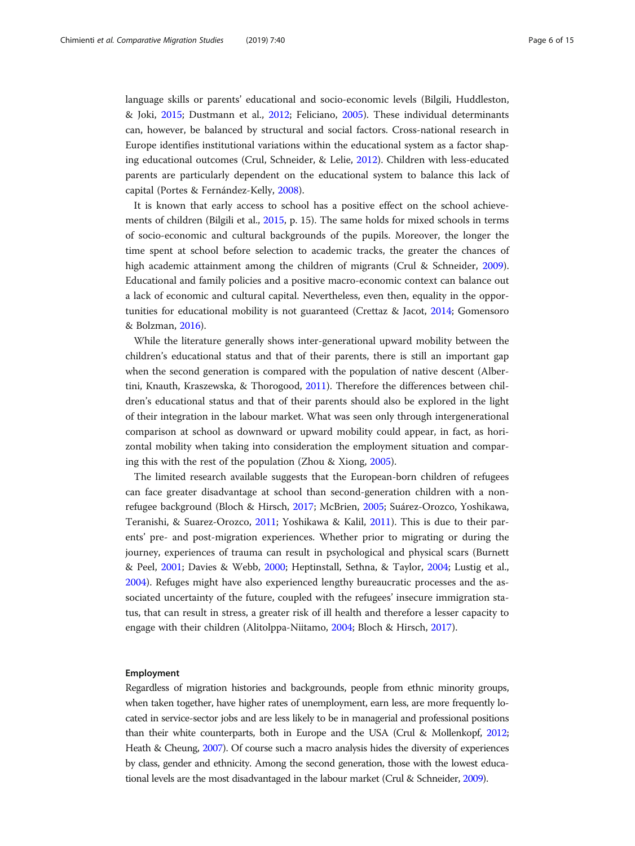language skills or parents' educational and socio-economic levels (Bilgili, Huddleston, & Joki, [2015;](#page-11-0) Dustmann et al., [2012;](#page-12-0) Feliciano, [2005\)](#page-12-0). These individual determinants can, however, be balanced by structural and social factors. Cross-national research in Europe identifies institutional variations within the educational system as a factor shaping educational outcomes (Crul, Schneider, & Lelie, [2012](#page-12-0)). Children with less-educated parents are particularly dependent on the educational system to balance this lack of capital (Portes & Fernández-Kelly, [2008](#page-13-0)).

It is known that early access to school has a positive effect on the school achievements of children (Bilgili et al., [2015,](#page-11-0) p. 15). The same holds for mixed schools in terms of socio-economic and cultural backgrounds of the pupils. Moreover, the longer the time spent at school before selection to academic tracks, the greater the chances of high academic attainment among the children of migrants (Crul & Schneider, [2009](#page-12-0)). Educational and family policies and a positive macro-economic context can balance out a lack of economic and cultural capital. Nevertheless, even then, equality in the opportunities for educational mobility is not guaranteed (Crettaz & Jacot, [2014;](#page-12-0) Gomensoro & Bolzman, [2016](#page-13-0)).

While the literature generally shows inter-generational upward mobility between the children's educational status and that of their parents, there is still an important gap when the second generation is compared with the population of native descent (Albertini, Knauth, Kraszewska, & Thorogood, [2011](#page-11-0)). Therefore the differences between children's educational status and that of their parents should also be explored in the light of their integration in the labour market. What was seen only through intergenerational comparison at school as downward or upward mobility could appear, in fact, as horizontal mobility when taking into consideration the employment situation and comparing this with the rest of the population (Zhou & Xiong, [2005\)](#page-14-0).

The limited research available suggests that the European-born children of refugees can face greater disadvantage at school than second-generation children with a nonrefugee background (Bloch & Hirsch, [2017;](#page-11-0) McBrien, [2005](#page-13-0); Suárez-Orozco, Yoshikawa, Teranishi, & Suarez-Orozco, [2011](#page-14-0); Yoshikawa & Kalil, [2011\)](#page-14-0). This is due to their parents' pre- and post-migration experiences. Whether prior to migrating or during the journey, experiences of trauma can result in psychological and physical scars (Burnett & Peel, [2001;](#page-12-0) Davies & Webb, [2000;](#page-12-0) Heptinstall, Sethna, & Taylor, [2004;](#page-13-0) Lustig et al., [2004](#page-13-0)). Refuges might have also experienced lengthy bureaucratic processes and the associated uncertainty of the future, coupled with the refugees' insecure immigration status, that can result in stress, a greater risk of ill health and therefore a lesser capacity to engage with their children (Alitolppa-Niitamo, [2004;](#page-11-0) Bloch & Hirsch, [2017\)](#page-11-0).

#### Employment

Regardless of migration histories and backgrounds, people from ethnic minority groups, when taken together, have higher rates of unemployment, earn less, are more frequently located in service-sector jobs and are less likely to be in managerial and professional positions than their white counterparts, both in Europe and the USA (Crul & Mollenkopf, [2012](#page-12-0); Heath & Cheung, [2007\)](#page-13-0). Of course such a macro analysis hides the diversity of experiences by class, gender and ethnicity. Among the second generation, those with the lowest educational levels are the most disadvantaged in the labour market (Crul & Schneider, [2009](#page-12-0)).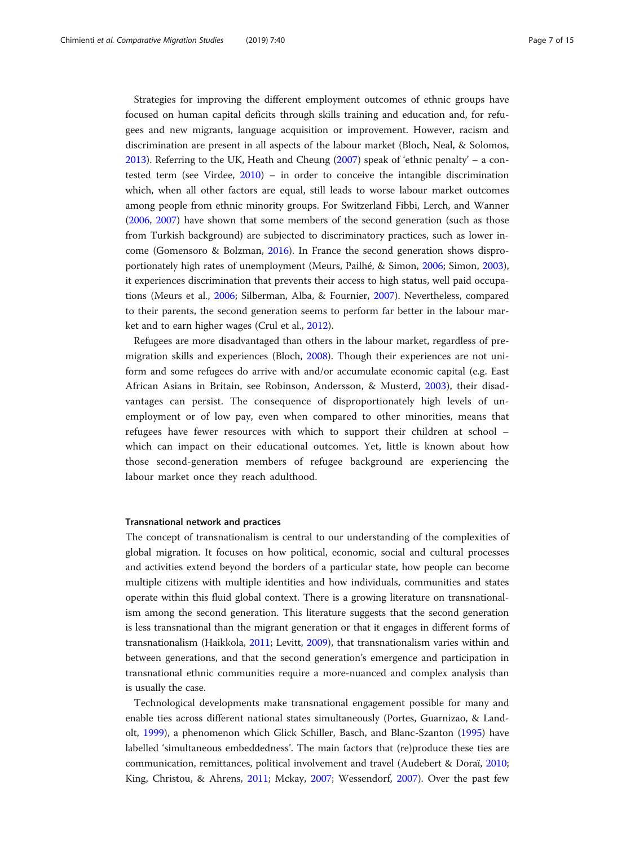Strategies for improving the different employment outcomes of ethnic groups have focused on human capital deficits through skills training and education and, for refugees and new migrants, language acquisition or improvement. However, racism and discrimination are present in all aspects of the labour market (Bloch, Neal, & Solomos, [2013](#page-11-0)). Referring to the UK, Heath and Cheung ([2007\)](#page-13-0) speak of 'ethnic penalty' – a contested term (see Virdee, [2010\)](#page-14-0) – in order to conceive the intangible discrimination which, when all other factors are equal, still leads to worse labour market outcomes among people from ethnic minority groups. For Switzerland Fibbi, Lerch, and Wanner ([2006](#page-12-0), [2007\)](#page-12-0) have shown that some members of the second generation (such as those from Turkish background) are subjected to discriminatory practices, such as lower income (Gomensoro & Bolzman, [2016\)](#page-13-0). In France the second generation shows disproportionately high rates of unemployment (Meurs, Pailhé, & Simon, [2006;](#page-13-0) Simon, [2003](#page-14-0)), it experiences discrimination that prevents their access to high status, well paid occupations (Meurs et al., [2006;](#page-13-0) Silberman, Alba, & Fournier, [2007](#page-14-0)). Nevertheless, compared to their parents, the second generation seems to perform far better in the labour market and to earn higher wages (Crul et al., [2012\)](#page-12-0).

Refugees are more disadvantaged than others in the labour market, regardless of premigration skills and experiences (Bloch, [2008](#page-11-0)). Though their experiences are not uniform and some refugees do arrive with and/or accumulate economic capital (e.g. East African Asians in Britain, see Robinson, Andersson, & Musterd, [2003\)](#page-14-0), their disadvantages can persist. The consequence of disproportionately high levels of unemployment or of low pay, even when compared to other minorities, means that refugees have fewer resources with which to support their children at school – which can impact on their educational outcomes. Yet, little is known about how those second-generation members of refugee background are experiencing the labour market once they reach adulthood.

# Transnational network and practices

The concept of transnationalism is central to our understanding of the complexities of global migration. It focuses on how political, economic, social and cultural processes and activities extend beyond the borders of a particular state, how people can become multiple citizens with multiple identities and how individuals, communities and states operate within this fluid global context. There is a growing literature on transnationalism among the second generation. This literature suggests that the second generation is less transnational than the migrant generation or that it engages in different forms of transnationalism (Haikkola, [2011;](#page-13-0) Levitt, [2009\)](#page-13-0), that transnationalism varies within and between generations, and that the second generation's emergence and participation in transnational ethnic communities require a more-nuanced and complex analysis than is usually the case.

Technological developments make transnational engagement possible for many and enable ties across different national states simultaneously (Portes, Guarnizao, & Landolt, [1999\)](#page-14-0), a phenomenon which Glick Schiller, Basch, and Blanc-Szanton ([1995](#page-12-0)) have labelled 'simultaneous embeddedness'. The main factors that (re)produce these ties are communication, remittances, political involvement and travel (Audebert & Doraï, [2010](#page-11-0); King, Christou, & Ahrens, [2011;](#page-13-0) Mckay, [2007](#page-13-0); Wessendorf, [2007\)](#page-14-0). Over the past few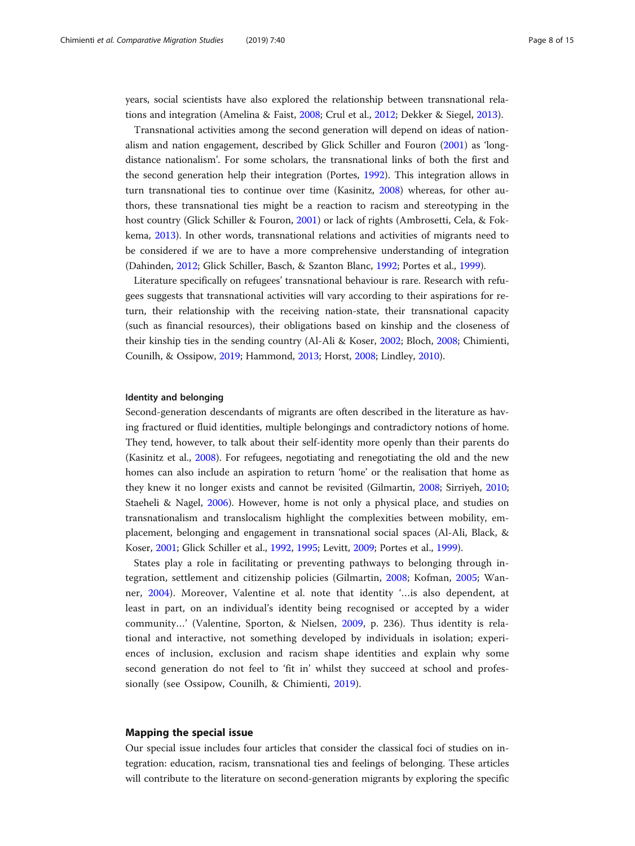years, social scientists have also explored the relationship between transnational relations and integration (Amelina & Faist, [2008;](#page-11-0) Crul et al., [2012](#page-12-0); Dekker & Siegel, [2013](#page-12-0)).

Transnational activities among the second generation will depend on ideas of nationalism and nation engagement, described by Glick Schiller and Fouron [\(2001\)](#page-12-0) as 'longdistance nationalism'. For some scholars, the transnational links of both the first and the second generation help their integration (Portes, [1992\)](#page-13-0). This integration allows in turn transnational ties to continue over time (Kasinitz, [2008](#page-13-0)) whereas, for other authors, these transnational ties might be a reaction to racism and stereotyping in the host country (Glick Schiller & Fouron, [2001\)](#page-12-0) or lack of rights (Ambrosetti, Cela, & Fokkema, [2013\)](#page-11-0). In other words, transnational relations and activities of migrants need to be considered if we are to have a more comprehensive understanding of integration (Dahinden, [2012](#page-12-0); Glick Schiller, Basch, & Szanton Blanc, [1992;](#page-12-0) Portes et al., [1999\)](#page-14-0).

Literature specifically on refugees' transnational behaviour is rare. Research with refugees suggests that transnational activities will vary according to their aspirations for return, their relationship with the receiving nation-state, their transnational capacity (such as financial resources), their obligations based on kinship and the closeness of their kinship ties in the sending country (Al-Ali & Koser, [2002](#page-11-0); Bloch, [2008](#page-11-0); Chimienti, Counilh, & Ossipow, [2019](#page-12-0); Hammond, [2013](#page-13-0); Horst, [2008](#page-13-0); Lindley, [2010](#page-13-0)).

#### Identity and belonging

Second-generation descendants of migrants are often described in the literature as having fractured or fluid identities, multiple belongings and contradictory notions of home. They tend, however, to talk about their self-identity more openly than their parents do (Kasinitz et al., [2008\)](#page-13-0). For refugees, negotiating and renegotiating the old and the new homes can also include an aspiration to return 'home' or the realisation that home as they knew it no longer exists and cannot be revisited (Gilmartin, [2008;](#page-12-0) Sirriyeh, [2010](#page-14-0); Staeheli & Nagel, [2006](#page-14-0)). However, home is not only a physical place, and studies on transnationalism and translocalism highlight the complexities between mobility, emplacement, belonging and engagement in transnational social spaces (Al-Ali, Black, & Koser, [2001;](#page-11-0) Glick Schiller et al., [1992](#page-12-0), [1995](#page-12-0); Levitt, [2009](#page-13-0); Portes et al., [1999](#page-14-0)).

States play a role in facilitating or preventing pathways to belonging through integration, settlement and citizenship policies (Gilmartin, [2008](#page-12-0); Kofman, [2005;](#page-13-0) Wanner, [2004](#page-14-0)). Moreover, Valentine et al. note that identity '…is also dependent, at least in part, on an individual's identity being recognised or accepted by a wider community…' (Valentine, Sporton, & Nielsen, [2009,](#page-14-0) p. 236). Thus identity is relational and interactive, not something developed by individuals in isolation; experiences of inclusion, exclusion and racism shape identities and explain why some second generation do not feel to 'fit in' whilst they succeed at school and professionally (see Ossipow, Counilh, & Chimienti, [2019\)](#page-13-0).

#### Mapping the special issue

Our special issue includes four articles that consider the classical foci of studies on integration: education, racism, transnational ties and feelings of belonging. These articles will contribute to the literature on second-generation migrants by exploring the specific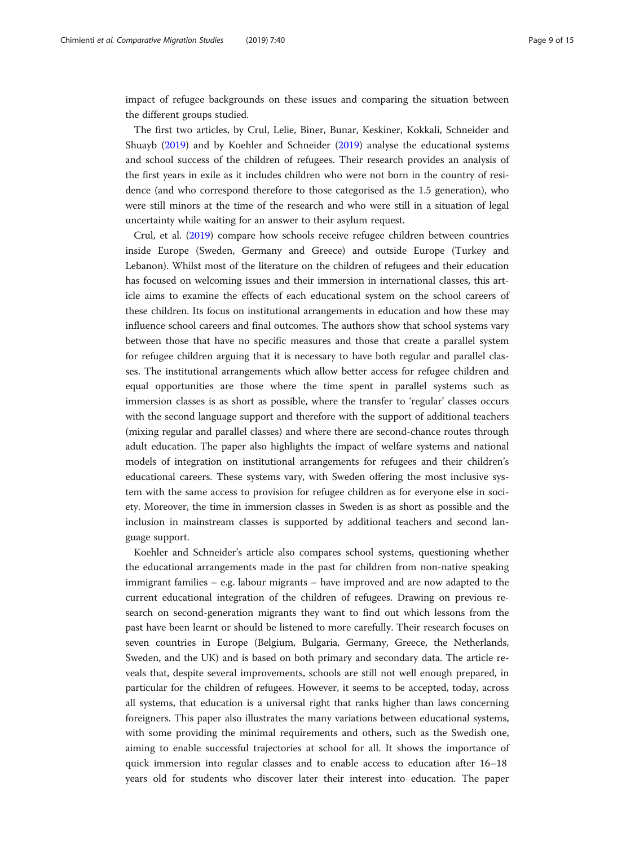impact of refugee backgrounds on these issues and comparing the situation between the different groups studied.

The first two articles, by Crul, Lelie, Biner, Bunar, Keskiner, Kokkali, Schneider and Shuayb ([2019](#page-12-0)) and by Koehler and Schneider [\(2019](#page-13-0)) analyse the educational systems and school success of the children of refugees. Their research provides an analysis of the first years in exile as it includes children who were not born in the country of residence (and who correspond therefore to those categorised as the 1.5 generation), who were still minors at the time of the research and who were still in a situation of legal uncertainty while waiting for an answer to their asylum request.

Crul, et al. ([2019](#page-12-0)) compare how schools receive refugee children between countries inside Europe (Sweden, Germany and Greece) and outside Europe (Turkey and Lebanon). Whilst most of the literature on the children of refugees and their education has focused on welcoming issues and their immersion in international classes, this article aims to examine the effects of each educational system on the school careers of these children. Its focus on institutional arrangements in education and how these may influence school careers and final outcomes. The authors show that school systems vary between those that have no specific measures and those that create a parallel system for refugee children arguing that it is necessary to have both regular and parallel classes. The institutional arrangements which allow better access for refugee children and equal opportunities are those where the time spent in parallel systems such as immersion classes is as short as possible, where the transfer to 'regular' classes occurs with the second language support and therefore with the support of additional teachers (mixing regular and parallel classes) and where there are second-chance routes through adult education. The paper also highlights the impact of welfare systems and national models of integration on institutional arrangements for refugees and their children's educational careers. These systems vary, with Sweden offering the most inclusive system with the same access to provision for refugee children as for everyone else in society. Moreover, the time in immersion classes in Sweden is as short as possible and the inclusion in mainstream classes is supported by additional teachers and second language support.

Koehler and Schneider's article also compares school systems, questioning whether the educational arrangements made in the past for children from non-native speaking immigrant families – e.g. labour migrants – have improved and are now adapted to the current educational integration of the children of refugees. Drawing on previous research on second-generation migrants they want to find out which lessons from the past have been learnt or should be listened to more carefully. Their research focuses on seven countries in Europe (Belgium, Bulgaria, Germany, Greece, the Netherlands, Sweden, and the UK) and is based on both primary and secondary data. The article reveals that, despite several improvements, schools are still not well enough prepared, in particular for the children of refugees. However, it seems to be accepted, today, across all systems, that education is a universal right that ranks higher than laws concerning foreigners. This paper also illustrates the many variations between educational systems, with some providing the minimal requirements and others, such as the Swedish one, aiming to enable successful trajectories at school for all. It shows the importance of quick immersion into regular classes and to enable access to education after 16–18 years old for students who discover later their interest into education. The paper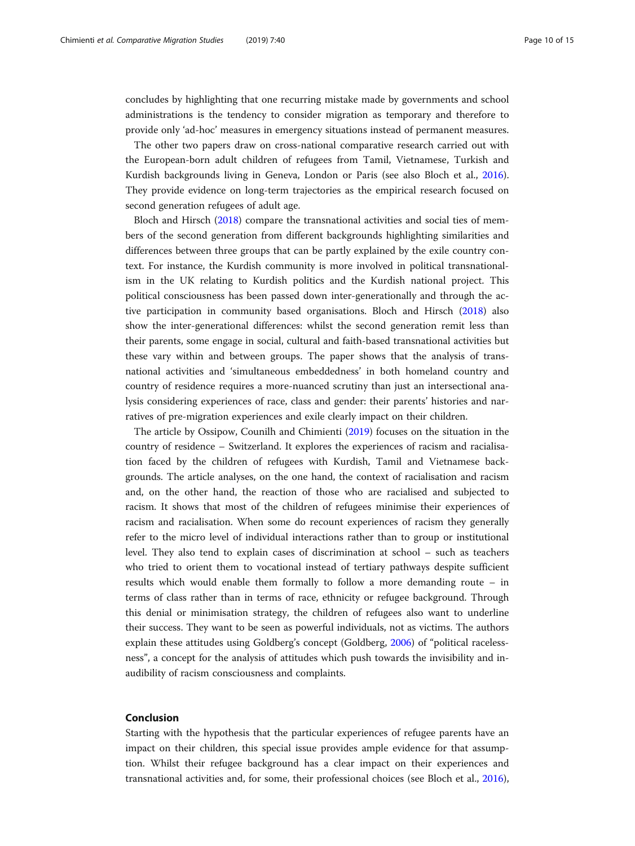concludes by highlighting that one recurring mistake made by governments and school administrations is the tendency to consider migration as temporary and therefore to provide only 'ad-hoc' measures in emergency situations instead of permanent measures.

The other two papers draw on cross-national comparative research carried out with the European-born adult children of refugees from Tamil, Vietnamese, Turkish and Kurdish backgrounds living in Geneva, London or Paris (see also Bloch et al., [2016](#page-11-0)). They provide evidence on long-term trajectories as the empirical research focused on second generation refugees of adult age.

Bloch and Hirsch [\(2018\)](#page-11-0) compare the transnational activities and social ties of members of the second generation from different backgrounds highlighting similarities and differences between three groups that can be partly explained by the exile country context. For instance, the Kurdish community is more involved in political transnationalism in the UK relating to Kurdish politics and the Kurdish national project. This political consciousness has been passed down inter-generationally and through the active participation in community based organisations. Bloch and Hirsch ([2018](#page-11-0)) also show the inter-generational differences: whilst the second generation remit less than their parents, some engage in social, cultural and faith-based transnational activities but these vary within and between groups. The paper shows that the analysis of transnational activities and 'simultaneous embeddedness' in both homeland country and country of residence requires a more-nuanced scrutiny than just an intersectional analysis considering experiences of race, class and gender: their parents' histories and narratives of pre-migration experiences and exile clearly impact on their children.

The article by Ossipow, Counilh and Chimienti [\(2019\)](#page-13-0) focuses on the situation in the country of residence – Switzerland. It explores the experiences of racism and racialisation faced by the children of refugees with Kurdish, Tamil and Vietnamese backgrounds. The article analyses, on the one hand, the context of racialisation and racism and, on the other hand, the reaction of those who are racialised and subjected to racism. It shows that most of the children of refugees minimise their experiences of racism and racialisation. When some do recount experiences of racism they generally refer to the micro level of individual interactions rather than to group or institutional level. They also tend to explain cases of discrimination at school – such as teachers who tried to orient them to vocational instead of tertiary pathways despite sufficient results which would enable them formally to follow a more demanding route – in terms of class rather than in terms of race, ethnicity or refugee background. Through this denial or minimisation strategy, the children of refugees also want to underline their success. They want to be seen as powerful individuals, not as victims. The authors explain these attitudes using Goldberg's concept (Goldberg, [2006\)](#page-13-0) of "political racelessness", a concept for the analysis of attitudes which push towards the invisibility and inaudibility of racism consciousness and complaints.

# Conclusion

Starting with the hypothesis that the particular experiences of refugee parents have an impact on their children, this special issue provides ample evidence for that assumption. Whilst their refugee background has a clear impact on their experiences and transnational activities and, for some, their professional choices (see Bloch et al., [2016](#page-11-0)),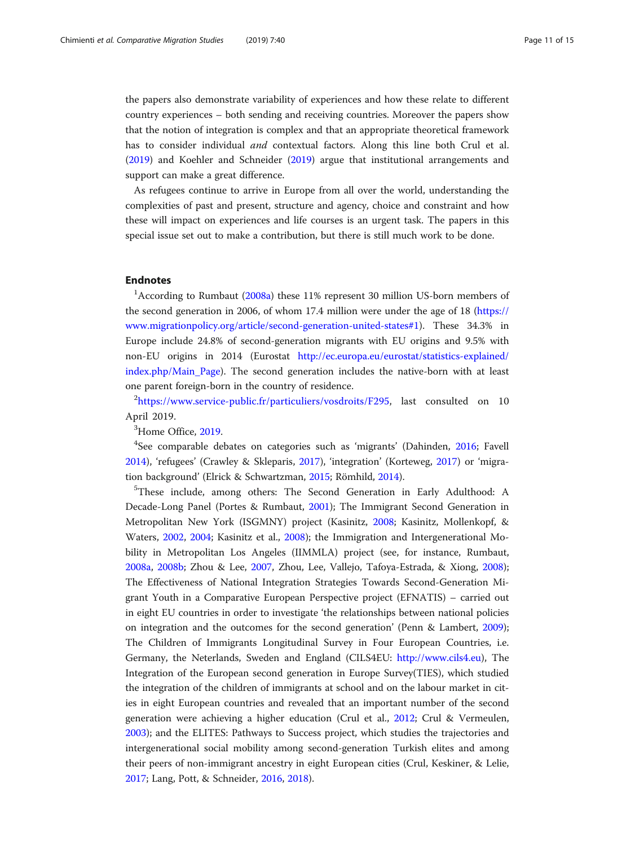the papers also demonstrate variability of experiences and how these relate to different country experiences – both sending and receiving countries. Moreover the papers show that the notion of integration is complex and that an appropriate theoretical framework has to consider individual and contextual factors. Along this line both Crul et al. ([2019](#page-12-0)) and Koehler and Schneider ([2019](#page-13-0)) argue that institutional arrangements and support can make a great difference.

As refugees continue to arrive in Europe from all over the world, understanding the complexities of past and present, structure and agency, choice and constraint and how these will impact on experiences and life courses is an urgent task. The papers in this special issue set out to make a contribution, but there is still much work to be done.

# Endnotes

<sup>1</sup>According to Rumbaut [\(2008a](#page-14-0)) these 11% represent 30 million US-born members of the second generation in 2006, of whom 17.4 million were under the age of 18 ([https://](https://www.migrationpolicy.org/article/second-generation-united-states#1) [www.migrationpolicy.org/article/second-generation-united-states#1](https://www.migrationpolicy.org/article/second-generation-united-states#1)). These 34.3% in Europe include 24.8% of second-generation migrants with EU origins and 9.5% with non-EU origins in 2014 (Eurostat [http://ec.europa.eu/eurostat/statistics-explained/](http://ec.europa.eu/eurostat/statistics-explained/index.php/Main_Page) [index.php/Main\\_Page\)](http://ec.europa.eu/eurostat/statistics-explained/index.php/Main_Page). The second generation includes the native-born with at least one parent foreign-born in the country of residence.

<sup>2</sup><https://www.service-public.fr/particuliers/vosdroits/F295>, last consulted on 10 April 2019.

<sup>3</sup>Home Office, [2019.](#page-13-0)

<sup>4</sup>See comparable debates on categories such as 'migrants' (Dahinden, [2016](#page-12-0); Favell [2014](#page-12-0)), 'refugees' (Crawley & Skleparis, [2017](#page-12-0)), 'integration' (Korteweg, [2017](#page-13-0)) or 'migration background' (Elrick & Schwartzman, [2015;](#page-12-0) Römhild, [2014](#page-14-0)).

<sup>5</sup>These include, among others: The Second Generation in Early Adulthood: A Decade-Long Panel (Portes & Rumbaut, [2001](#page-14-0)); The Immigrant Second Generation in Metropolitan New York (ISGMNY) project (Kasinitz, [2008;](#page-13-0) Kasinitz, Mollenkopf, & Waters, [2002,](#page-13-0) [2004](#page-13-0); Kasinitz et al., [2008](#page-13-0)); the Immigration and Intergenerational Mobility in Metropolitan Los Angeles (IIMMLA) project (see, for instance, Rumbaut, [2008a,](#page-14-0) [2008b](#page-14-0); Zhou & Lee, [2007](#page-14-0), Zhou, Lee, Vallejo, Tafoya-Estrada, & Xiong, [2008](#page-14-0)); The Effectiveness of National Integration Strategies Towards Second-Generation Migrant Youth in a Comparative European Perspective project (EFNATIS) – carried out in eight EU countries in order to investigate 'the relationships between national policies on integration and the outcomes for the second generation' (Penn & Lambert, [2009](#page-13-0)); The Children of Immigrants Longitudinal Survey in Four European Countries, i.e. Germany, the Neterlands, Sweden and England (CILS4EU: <http://www.cils4.eu>), The Integration of the European second generation in Europe Survey(TIES), which studied the integration of the children of immigrants at school and on the labour market in cities in eight European countries and revealed that an important number of the second generation were achieving a higher education (Crul et al., [2012](#page-12-0); Crul & Vermeulen, [2003](#page-12-0)); and the ELITES: Pathways to Success project, which studies the trajectories and intergenerational social mobility among second-generation Turkish elites and among their peers of non-immigrant ancestry in eight European cities (Crul, Keskiner, & Lelie, [2017](#page-12-0); Lang, Pott, & Schneider, [2016,](#page-13-0) [2018](#page-13-0)).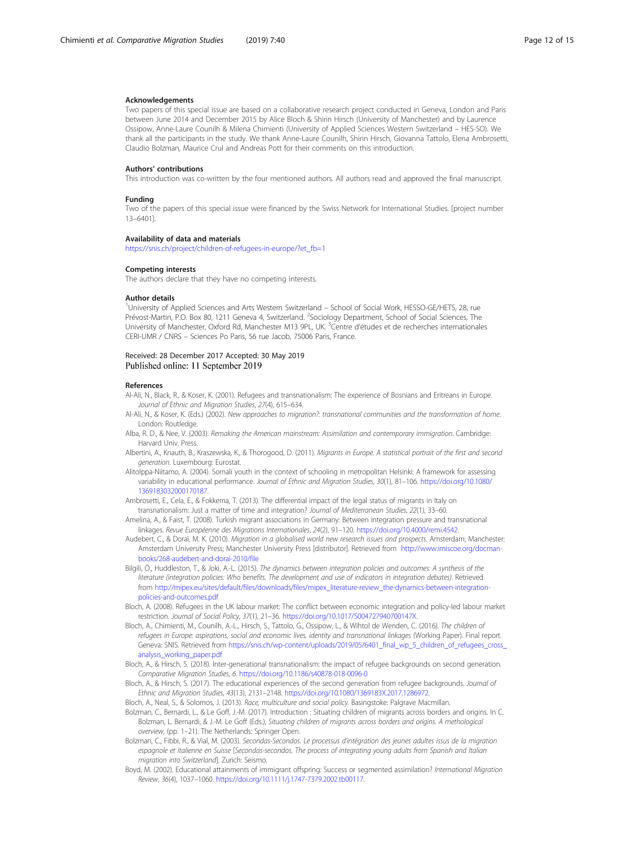#### <span id="page-11-0"></span>Acknowledgements

Two papers of this special issue are based on a collaborative research project conducted in Geneva, London and Paris between June 2014 and December 2015 by Alice Bloch & Shirin Hirsch (University of Manchester) and by Laurence Ossipow, Anne-Laure Counilh & Milena Chimienti (University of Applied Sciences Western Switzerland – HES-SO). We thank all the participants in the study. We thank Anne-Laure Counilh, Shirin Hirsch, Giovanna Tattolo, Elena Ambrosetti, Claudio Bolzman, Maurice Crul and Andreas Pott for their comments on this introduction.

#### Authors' contributions

This introduction was co-written by the four mentioned authors. All authors read and approved the final manuscript.

#### Funding

Two of the papers of this special issue were financed by the Swiss Network for International Studies. [project number 13–6401].

#### Availability of data and materials

[https://snis.ch/project/children-of-refugees-in-europe/?et\\_fb=1](https://snis.ch/project/children-of-refugees-in-europe/?et_fb=1)

#### Competing interests

The authors declare that they have no competing interests.

#### Author details

<sup>1</sup>University of Applied Sciences and Arts Western Switzerland - School of Social Work, HESSO-GE/HETS, 28, rue Prévost-Martin, P.O. Box 80, 1211 Geneva 4, Switzerland. <sup>2</sup>Sociology Department, School of Social Sciences, The University of Manchester, Oxford Rd, Manchester M13 9PL, UK. <sup>3</sup>Centre d'études et de recherches internationales CERI-UMR / CNRS – Sciences Po Paris, 56 rue Jacob, 75006 Paris, France.

#### Received: 28 December 2017 Accepted: 30 May 2019 Published online: 11 September 2019

#### References

Al-Ali, N., Black, R., & Koser, K. (2001). Refugees and transnationalism: The experience of Bosnians and Eritreans in Europe. Journal of Ethnic and Migration Studies, 27(4), 615–634.

- Al-Ali, N., & Koser, K. (Eds.) (2002). New approaches to migration?: transnational communities and the transformation of home. London: Routledge.
- Alba, R. D., & Nee, V. (2003). Remaking the American mainstream: Assimilation and contemporary immigration. Cambridge: Harvard Univ. Press.
- Albertini, A., Knauth, B., Kraszewska, K., & Thorogood, D. (2011). Migrants in Europe. A statistical portrait of the first and second generation. Luxembourg: Eurostat.
- Alitolppa-Niitamo, A. (2004). Somali youth in the context of schooling in metropolitan Helsinki: A framework for assessing variability in educational performance. Journal of Ethnic and Migration Studies, 30(1), 81–106. [https://doi.org/10.1080/](https://doi.org/10.1080/1369183032000170187) [1369183032000170187](https://doi.org/10.1080/1369183032000170187).
- Ambrosetti, E., Cela, E., & Fokkema, T. (2013). The differential impact of the legal status of migrants in Italy on transnationalism: Just a matter of time and integration? Journal of Mediterranean Studies, 22(1), 33–60.
- Amelina, A., & Faist, T. (2008). Turkish migrant associations in Germany: Between integration pressure and transnational linkages. Revue Européenne des Migrations Internationales, 24(2), 91–120. [https://doi.org/10.4000/remi.4542.](https://doi.org/10.4000/remi.4542)
- Audebert, C., & Doraï, M. K. (2010). Migration in a globalised world new research issues and prospects. Amsterdam; Manchester: Amsterdam University Press; Manchester University Press [distributor]. Retrieved from [http://www.imiscoe.org/docman](http://www.imiscoe.org/docman-books/268-audebert-and-dorai-2010/file)[books/268-audebert-and-dorai-2010/file](http://www.imiscoe.org/docman-books/268-audebert-and-dorai-2010/file)
- Bilgili, Ö., Huddleston, T., & Joki, A.-L. (2015). The dynamics between integration policies and outcomes: A synthesis of the literature (integration policies: Who benefits. The development and use of indicators in integration debates). Retrieved from [http://mipex.eu/sites/default/files/downloads/files/mipex\\_literature-review\\_the-dynamics-between-integration](http://mipex.eu/sites/default/files/downloads/files/mipex_literature-review_the-dynamics-between-integration-policies-and-outcomes.pdf)[policies-and-outcomes.pdf](http://mipex.eu/sites/default/files/downloads/files/mipex_literature-review_the-dynamics-between-integration-policies-and-outcomes.pdf)
- Bloch, A. (2008). Refugees in the UK labour market: The conflict between economic integration and policy-led labour market restriction. Journal of Social Policy, 37(1), 21–36. [https://doi.org/10.1017/S004727940700147X.](https://doi.org/10.1017/S004727940700147X)
- Bloch, A., Chimienti, M., Counilh, A.-L., Hirsch, S., Tattolo, G., Ossipow, L., & Wihtol de Wenden, C. (2016). The children of refugees in Europe: aspirations, social and economic lives, identity and transnational linkages (Working Paper). Final report. Geneva: SNIS. Retrieved from [https://snis.ch/wp-content/uploads/2019/05/6401\\_final\\_wp\\_5\\_children\\_of\\_refugees\\_cross\\_](https://snis.ch/wp-content/uploads/2019/05/6401_final_wp_5_children_of_refugees_cross_analysis_working_paper.pdf) [analysis\\_working\\_paper.pdf](https://snis.ch/wp-content/uploads/2019/05/6401_final_wp_5_children_of_refugees_cross_analysis_working_paper.pdf)
- Bloch, A., & Hirsch, S. (2018). Inter-generational transnationalism: the impact of refugee backgrounds on second generation. Comparative Migration Studies, 6. <https://doi.org/10.1186/s40878-018-0096-0>
- Bloch, A., & Hirsch, S. (2017). The educational experiences of the second generation from refugee backgrounds. Journal of Ethnic and Migration Studies, 43(13), 2131–2148. <https://doi.org/10.1080/1369183X.2017.1286972>.
- Bloch, A., Neal, S., & Solomos, J. (2013). Race, multiculture and social policy. Basingstoke: Palgrave Macmillan.
- Bolzman, C., Bernardi, L., & Le Goff, J.-M. (2017). Introduction : Situating children of migrants across borders and origins. In C. Bolzman, L. Bernardi, & J.-M. Le Goff (Eds.), Situating children of migrants across borders and origins. A methological overview, (pp. 1–21). The Netherlands: Springer Open.
- Bolzman, C., Fibbi, R., & Vial, M. (2003). Secondas-Secondos. Le processus d'intégration des jeunes adultes issus de la migration espagnole et italienne en Suisse [Secondas-secondos. The process of integrating young adults from Spanish and Italian migration into Switzerland]. Zurich: Seismo.
- Boyd, M. (2002). Educational attainments of immigrant offspring: Success or segmented assimilation? International Migration Review, 36(4), 1037–1060. <https://doi.org/10.1111/j.1747-7379.2002.tb00117>.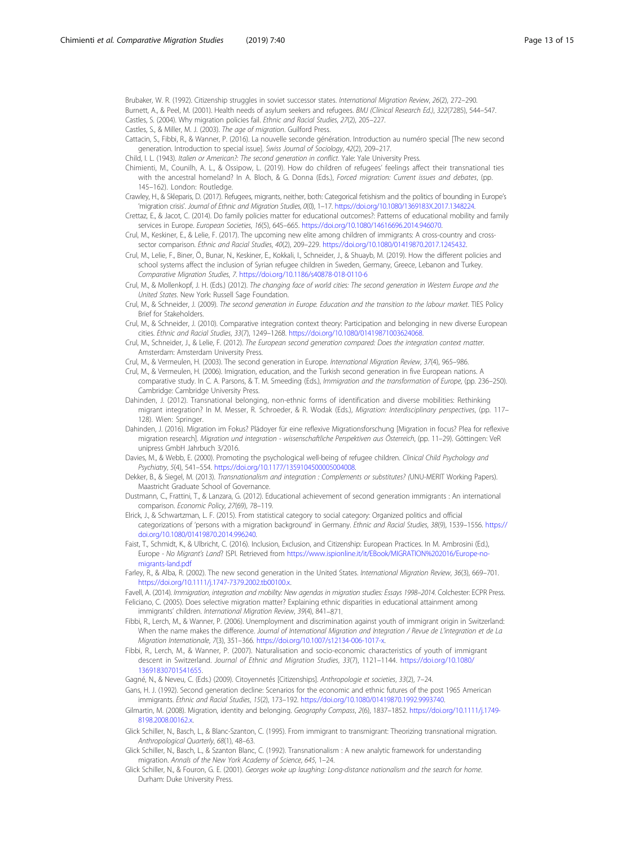<span id="page-12-0"></span>Brubaker, W. R. (1992). Citizenship struggles in soviet successor states. International Migration Review, 26(2), 272–290.

- Burnett, A., & Peel, M. (2001). Health needs of asylum seekers and refugees. BMJ (Clinical Research Ed.), 322(7285), 544–547.
- Castles, S. (2004). Why migration policies fail. Ethnic and Racial Studies, 27(2), 205–227. Castles, S., & Miller, M. J. (2003). The age of migration. Guilford Press.
- Cattacin, S., Fibbi, R., & Wanner, P. (2016). La nouvelle seconde génération. Introduction au numéro special [The new second generation. Introduction to special issue]. Swiss Journal of Sociology, 42(2), 209–217.
- Child, I. L. (1943). Italien or American?: The second generation in conflict. Yale: Yale University Press.
- Chimienti, M., Counilh, A. L., & Ossipow, L. (2019). How do children of refugees' feelings affect their transnational ties with the ancestral homeland? In A. Bloch, & G. Donna (Eds.), Forced migration: Current issues and debates, (pp. 145–162). London: Routledge.
- Crawley, H., & Skleparis, D. (2017). Refugees, migrants, neither, both: Categorical fetishism and the politics of bounding in Europe's 'migration crisis'. Journal of Ethnic and Migration Studies, 0(0), 1–17. [https://doi.org/10.1080/1369183X.2017.1348224.](https://doi.org/10.1080/1369183X.2017.1348224)
- Crettaz, E., & Jacot, C. (2014). Do family policies matter for educational outcomes?: Patterns of educational mobility and family services in Europe. European Societies, 16(5), 645–665. <https://doi.org/10.1080/14616696.2014.946070>.
- Crul, M., Keskiner, E., & Lelie, F. (2017). The upcoming new elite among children of immigrants: A cross-country and crosssector comparison. Ethnic and Racial Studies, 40(2), 209–229. <https://doi.org/10.1080/01419870.2017.1245432>.
- Crul, M., Lelie, F., Biner, Ö., Bunar, N., Keskiner, E., Kokkali, I., Schneider, J., & Shuayb, M. (2019). How the different policies and school systems affect the inclusion of Syrian refugee children in Sweden, Germany, Greece, Lebanon and Turkey. Comparative Migration Studies, 7. <https://doi.org/10.1186/s40878-018-0110-6>
- Crul, M., & Mollenkopf, J. H. (Eds.) (2012). The changing face of world cities: The second generation in Western Europe and the United States. New York: Russell Sage Foundation.
- Crul, M., & Schneider, J. (2009). The second generation in Europe. Education and the transition to the labour market. TIES Policy Brief for Stakeholders.
- Crul, M., & Schneider, J. (2010). Comparative integration context theory: Participation and belonging in new diverse European cities. Ethnic and Racial Studies, 33(7), 1249–1268. <https://doi.org/10.1080/01419871003624068>.
- Crul, M., Schneider, J., & Lelie, F. (2012). The European second generation compared: Does the integration context matter. Amsterdam: Amsterdam University Press.
- Crul, M., & Vermeulen, H. (2003). The second generation in Europe. International Migration Review, 37(4), 965–986.
- Crul, M., & Vermeulen, H. (2006). Imigration, education, and the Turkish second generation in five European nations. A comparative study. In C. A. Parsons, & T. M. Smeeding (Eds.), Immigration and the transformation of Europe, (pp. 236–250). Cambridge: Cambridge University Press.
- Dahinden, J. (2012). Transnational belonging, non-ethnic forms of identification and diverse mobilities: Rethinking migrant integration? In M. Messer, R. Schroeder, & R. Wodak (Eds.), Migration: Interdisciplinary perspectives, (pp. 117– 128). Wien: Springer.
- Dahinden, J. (2016). Migration im Fokus? Plädoyer für eine reflexive Migrationsforschung [Migration in focus? Plea for reflexive migration research]. Migration und integration - wissenschaftliche Perspektiven aus Österreich, (pp. 11–29). Göttingen: VeR unipress GmbH Jahrbuch 3/2016.
- Davies, M., & Webb, E. (2000). Promoting the psychological well-being of refugee children. Clinical Child Psychology and Psychiatry, 5(4), 541–554. <https://doi.org/10.1177/1359104500005004008>.
- Dekker, B., & Siegel, M. (2013). Transnationalism and integration : Complements or substitutes? (UNU-MERIT Working Papers). Maastricht Graduate School of Governance.
- Dustmann, C., Frattini, T., & Lanzara, G. (2012). Educational achievement of second generation immigrants : An international comparison. Economic Policy, 27(69), 78–119.
- Elrick, J., & Schwartzman, L. F. (2015). From statistical category to social category: Organized politics and official categorizations of 'persons with a migration background' in Germany. Ethnic and Racial Studies, 38(9), 1539–1556. [https://](https://doi.org/10.1080/01419870.2014.996240) [doi.org/10.1080/01419870.2014.996240](https://doi.org/10.1080/01419870.2014.996240).
- Faist, T., Schmidt, K., & Ulbricht, C. (2016). Inclusion, Exclusion, and Citizenship: European Practices. In M. Ambrosini (Ed.), Europe - No Migrant's Land? ISPI. Retrieved from [https://www.ispionline.it/it/EBook/MIGRATION%202016/Europe-no](https://www.ispionline.it/it/EBook/MIGRATION%202016/Europe-no-migrants-land.pdf)[migrants-land.pdf](https://www.ispionline.it/it/EBook/MIGRATION%202016/Europe-no-migrants-land.pdf)
- Farley, R., & Alba, R. (2002). The new second generation in the United States. International Migration Review, 36(3), 669–701. <https://doi.org/10.1111/j.1747-7379.2002.tb00100.x>.
- Favell, A. (2014). Immigration, integration and mobility: New agendas in migration studies: Essays 1998–2014. Colchester: ECPR Press. Feliciano, C. (2005). Does selective migration matter? Explaining ethnic disparities in educational attainment among immigrants' children. International Migration Review, 39(4), 841–871.
- Fibbi, R., Lerch, M., & Wanner, P. (2006). Unemployment and discrimination against youth of immigrant origin in Switzerland: When the name makes the difference. Journal of International Migration and Integration / Revue de L'integration et de La Migration Internationale, 7(3), 351–366. [https://doi.org/10.1007/s12134-006-1017-x.](https://doi.org/10.1007/s12134-006-1017-x)
- Fibbi, R., Lerch, M., & Wanner, P. (2007). Naturalisation and socio-economic characteristics of youth of immigrant descent in Switzerland. Journal of Ethnic and Migration Studies, 33(7), 1121–1144. [https://doi.org/10.1080/](https://doi.org/10.1080/13691830701541655) [13691830701541655](https://doi.org/10.1080/13691830701541655).
- Gagné, N., & Neveu, C. (Eds.) (2009). Citoyennetés [Citizenships]. Anthropologie et societies, 33(2), 7–24.
- Gans, H. J. (1992). Second generation decline: Scenarios for the economic and ethnic futures of the post 1965 American immigrants. Ethnic and Racial Studies, 15(2), 173–192. [https://doi.org/10.1080/01419870.1992.9993740.](https://doi.org/10.1080/01419870.1992.9993740)
- Gilmartin, M. (2008). Migration, identity and belonging. Geography Compass, 2(6), 1837–1852. [https://doi.org/10.1111/j.1749-](https://doi.org/10.1111/j.1749-8198.2008.00162.x) [8198.2008.00162.x.](https://doi.org/10.1111/j.1749-8198.2008.00162.x)
- Glick Schiller, N., Basch, L., & Blanc-Szanton, C. (1995). From immigrant to transmigrant: Theorizing transnational migration. Anthropological Quarterly, 68(1), 48–63.
- Glick Schiller, N., Basch, L., & Szanton Blanc, C. (1992). Transnationalism : A new analytic framework for understanding migration. Annals of the New York Academy of Science, 645, 1–24.
- Glick Schiller, N., & Fouron, G. E. (2001). Georges woke up laughing: Long-distance nationalism and the search for home. Durham: Duke University Press.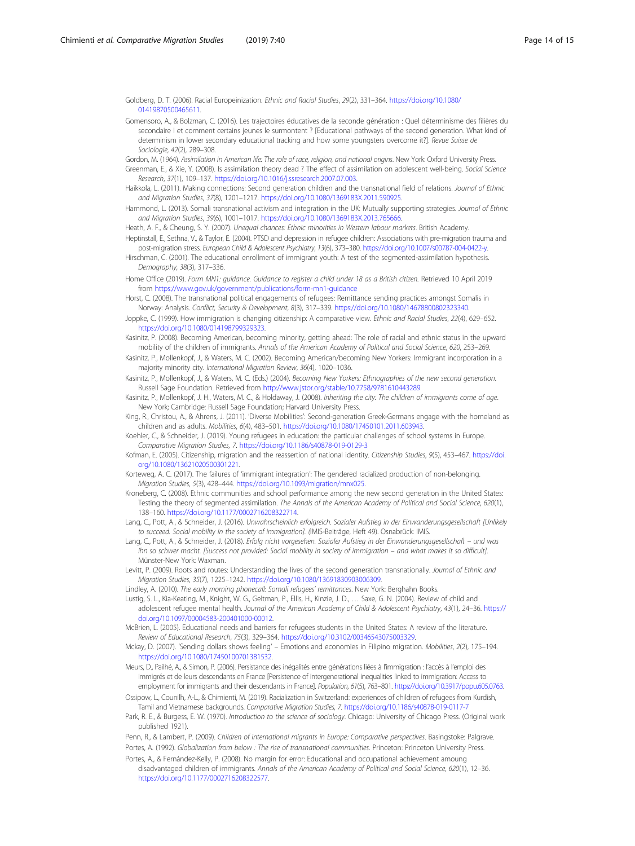<span id="page-13-0"></span>Goldberg, D. T. (2006). Racial Europeinization. Ethnic and Racial Studies, 29(2), 331–364. [https://doi.org/10.1080/](https://doi.org/10.1080/01419870500465611) [01419870500465611.](https://doi.org/10.1080/01419870500465611)

- Gomensoro, A., & Bolzman, C. (2016). Les trajectoires éducatives de la seconde génération : Quel déterminisme des filières du secondaire I et comment certains jeunes le surmontent ? [Educational pathways of the second generation. What kind of determinism in lower secondary educational tracking and how some youngsters overcome it?]. Revue Suisse de Sociologie, 42(2), 289–308.
- Gordon, M. (1964). Assimilation in American life: The role of race, religion, and national origins. New York: Oxford University Press.
- Greenman, E., & Xie, Y. (2008). Is assimilation theory dead ? The effect of assimilation on adolescent well-being. Social Science Research, 37(1), 109–137. <https://doi.org/10.1016/j.ssresearch.2007.07.003>.
- Haikkola, L. (2011). Making connections: Second generation children and the transnational field of relations. Journal of Ethnic and Migration Studies, 37(8), 1201–1217. <https://doi.org/10.1080/1369183X.2011.590925>.
- Hammond, L. (2013). Somali transnational activism and integration in the UK: Mutually supporting strategies. Journal of Ethnic and Migration Studies, 39(6), 1001–1017. <https://doi.org/10.1080/1369183X.2013.765666>.
- Heath, A. F., & Cheung, S. Y. (2007). Unequal chances: Ethnic minorities in Western labour markets. British Academy.
- Heptinstall, E., Sethna, V., & Taylor, E. (2004). PTSD and depression in refugee children: Associations with pre-migration trauma and post-migration stress. European Child & Adolescent Psychiatry, 13(6), 373–380. [https://doi.org/10.1007/s00787-004-0422-y.](https://doi.org/10.1007/s00787-004-0422-y)
- Hirschman, C. (2001). The educational enrollment of immigrant youth: A test of the segmented-assimilation hypothesis. Demography, 38(3), 317–336.
- Home Office (2019). Form MN1: guidance. Guidance to register a child under 18 as a British citizen. Retrieved 10 April 2019 from <https://www.gov.uk/government/publications/form-mn1-guidance>
- Horst, C. (2008). The transnational political engagements of refugees: Remittance sending practices amongst Somalis in Norway: Analysis. Conflict, Security & Development, 8(3), 317–339. <https://doi.org/10.1080/14678800802323340>.
- Joppke, C. (1999). How immigration is changing citizenship: A comparative view. Ethnic and Racial Studies, 22(4), 629-652. <https://doi.org/10.1080/014198799329323>.
- Kasinitz, P. (2008). Becoming American, becoming minority, getting ahead: The role of racial and ethnic status in the upward mobility of the children of immigrants. Annals of the American Academy of Political and Social Science, 620, 253–269.
- Kasinitz, P., Mollenkopf, J., & Waters, M. C. (2002). Becoming American/becoming New Yorkers: Immigrant incorporation in a majority minority city. International Migration Review, 36(4), 1020–1036.
- Kasinitz, P., Mollenkopf, J., & Waters, M. C. (Eds.) (2004). Becoming New Yorkers: Ethnographies of the new second generation. Russell Sage Foundation. Retrieved from <http://www.jstor.org/stable/10.7758/9781610443289>
- Kasinitz, P., Mollenkopf, J. H., Waters, M. C., & Holdaway, J. (2008). Inheriting the city: The children of immigrants come of age. New York; Cambridge: Russell Sage Foundation; Harvard University Press.
- King, R., Christou, A., & Ahrens, J. (2011). 'Diverse Mobilities': Second-generation Greek-Germans engage with the homeland as children and as adults. Mobilities, 6(4), 483–501. [https://doi.org/10.1080/17450101.2011.603943.](https://doi.org/10.1080/17450101.2011.603943)
- Koehler, C., & Schneider, J. (2019). Young refugees in education: the particular challenges of school systems in Europe. Comparative Migration Studies, 7. <https://doi.org/10.1186/s40878-019-0129-3>
- Kofman, E. (2005). Citizenship, migration and the reassertion of national identity. Citizenship Studies, 9(5), 453–467. [https://doi.](https://doi.org/10.1080/13621020500301221) [org/10.1080/13621020500301221.](https://doi.org/10.1080/13621020500301221)
- Korteweg, A. C. (2017). The failures of 'immigrant integration': The gendered racialized production of non-belonging. Migration Studies, 5(3), 428–444. [https://doi.org/10.1093/migration/mnx025.](https://doi.org/10.1093/migration/mnx025)
- Kroneberg, C. (2008). Ethnic communities and school performance among the new second generation in the United States: Testing the theory of segmented assimilation. The Annals of the American Academy of Political and Social Science, 620(1), 138–160. [https://doi.org/10.1177/0002716208322714.](https://doi.org/10.1177/0002716208322714)
- Lang, C., Pott, A., & Schneider, J. (2016). Unwahrscheinlich erfolgreich. Sozialer Aufstieg in der Einwanderungsgesellschaft [Unlikely to succeed. Social mobility in the society of immigration]. (IMIS-Beiträge, Heft 49). Osnabrück: IMIS.
- Lang, C., Pott, A., & Schneider, J. (2018). Erfolg nicht vorgesehen. Sozialer Aufstieg in der Einwanderungsgesellschaft und was ihn so schwer macht. [Success not provided: Social mobility in society of immigration – and what makes it so difficult]. Münster-New York: Waxman.
- Levitt, P. (2009). Roots and routes: Understanding the lives of the second generation transnationally. Journal of Ethnic and Migration Studies, 35(7), 1225–1242. <https://doi.org/10.1080/13691830903006309>.
- Lindley, A. (2010). The early morning phonecall: Somali refugees' remittances. New York: Berghahn Books.

Lustig, S. L., Kia-Keating, M., Knight, W. G., Geltman, P., Ellis, H., Kinzie, J. D., … Saxe, G. N. (2004). Review of child and adolescent refugee mental health. Journal of the American Academy of Child & Adolescent Psychiatry, 43(1), 24–36. [https://](https://doi.org/10.1097/00004583-200401000-00012) [doi.org/10.1097/00004583-200401000-00012](https://doi.org/10.1097/00004583-200401000-00012).

- McBrien, L. (2005). Educational needs and barriers for refugees students in the United States: A review of the literature. Review of Educational Research, 75(3), 329–364. <https://doi.org/10.3102/00346543075003329>.
- Mckay, D. (2007). 'Sending dollars shows feeling' Emotions and economies in Filipino migration. Mobilities, 2(2), 175–194. [https://doi.org/10.1080/17450100701381532.](https://doi.org/10.1080/17450100701381532)
- Meurs, D., Pailhé, A., & Simon, P. (2006). Persistance des inégalités entre générations liées à l'immigration : l'accès à l'emploi des immigrés et de leurs descendants en France [Persistence of intergenerational inequalities linked to immigration: Access to employment for immigrants and their descendants in France]. Population, 61(5), 763–801. [https://doi.org/10.3917/popu.605.0763.](https://doi.org/10.3917/popu.605.0763)
- Ossipow, L., Counilh, A-L., & Chimienti, M. (2019). Racialization in Switzerland: experiences of children of refugees from Kurdish, Tamil and Vietnamese backgrounds. Comparative Migration Studies, 7. <https://doi.org/10.1186/s40878-019-0117-7>
- Park, R. E., & Burgess, E. W. (1970). Introduction to the science of sociology. Chicago: University of Chicago Press. (Original work published 1921).

Penn, R., & Lambert, P. (2009). Children of international migrants in Europe: Comparative perspectives. Basingstoke: Palgrave. Portes, A. (1992). Globalization from below : The rise of transnational communities. Princeton: Princeton University Press. Portes, A., & Fernández-Kelly, P. (2008). No margin for error: Educational and occupational achievement amoung

disadvantaged children of immigrants. Annals of the American Academy of Political and Social Science, 620(1), 12-36. <https://doi.org/10.1177/0002716208322577>.